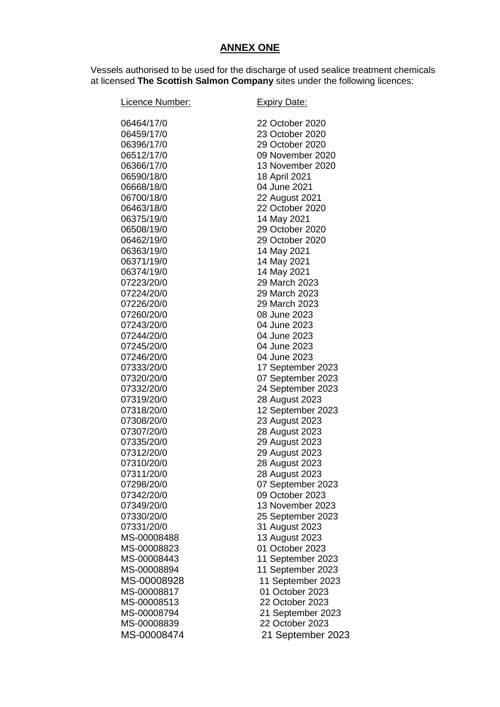## **ANNEX ONE**

Vessels authorised to be used for the discharge of used sealice treatment chemicals at licensed **The Scottish Salmon Company** sites under the following licences:

| Licence Number: | <b>Expiry Date:</b> |
|-----------------|---------------------|
| 06464/17/0      | 22 October 2020     |
| 06459/17/0      | 23 October 2020     |
| 06396/17/0      | 29 October 2020     |
| 06512/17/0      | 09 November 2020    |
| 06366/17/0      | 13 November 2020    |
| 06590/18/0      | 18 April 2021       |
| 06668/18/0      | 04 June 2021        |
| 06700/18/0      | 22 August 2021      |
| 06463/18/0      | 22 October 2020     |
| 06375/19/0      | 14 May 2021         |
| 06508/19/0      | 29 October 2020     |
| 06462/19/0      | 29 October 2020     |
| 06363/19/0      | 14 May 2021         |
| 06371/19/0      | 14 May 2021         |
| 06374/19/0      | 14 May 2021         |
| 07223/20/0      | 29 March 2023       |
| 07224/20/0      | 29 March 2023       |
| 07226/20/0      | 29 March 2023       |
| 07260/20/0      | 08 June 2023        |
| 07243/20/0      | 04 June 2023        |
| 07244/20/0      | 04 June 2023        |
| 07245/20/0      | 04 June 2023        |
| 07246/20/0      | 04 June 2023        |
| 07333/20/0      | 17 September 2023   |
| 07320/20/0      | 07 September 2023   |
| 07332/20/0      | 24 September 2023   |
| 07319/20/0      | 28 August 2023      |
| 07318/20/0      | 12 September 2023   |
| 07308/20/0      | 23 August 2023      |
| 07307/20/0      | 28 August 2023      |
| 07335/20/0      | 29 August 2023      |
| 07312/20/0      | 29 August 2023      |
| 07310/20/0      | 28 August 2023      |
| 07311/20/0      | 28 August 2023      |
| 07298/20/0      | 07 September 2023   |
| 07342/20/0      | 09 October 2023     |
| 07349/20/0      | 13 November 2023    |
| 07330/20/0      | 25 September 2023   |
| 07331/20/0      | 31 August 2023      |
| MS-00008488     | 13 August 2023      |
| MS-00008823     | 01 October 2023     |
| MS-00008443     | 11 September 2023   |
| MS-00008894     | 11 September 2023   |
| MS-00008928     | 11 September 2023   |
| MS-00008817     | 01 October 2023     |
| MS-00008513     | 22 October 2023     |
| MS-00008794     | 21 September 2023   |
| MS-00008839     | 22 October 2023     |
| MS-00008474     | 21 September 2023   |